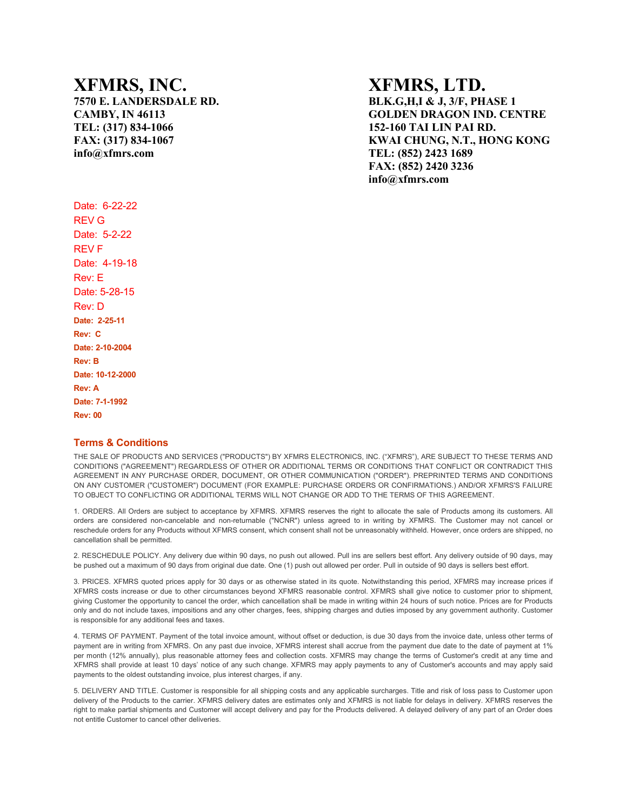**TEL: (317) 834-1066 152-160 TAI LIN PAI RD. info@xfmrs.com TEL: (852) 2423 1689**

## **XFMRS, INC. XFMRS, LTD.**

**7570 E. LANDERSDALE RD. BLK.G,H,I & J, 3/F, PHASE 1 CAMBY, IN 46113 GOLDEN DRAGON IND. CENTRE FAX: (317) 834-1067 KWAI CHUNG, N.T., HONG KONG FAX: (852) 2420 3236 info@xfmrs.com**

Date: 6-22-22 REV G Date: 5-2-22 REV F Date: 4-19-18 Rev: E Date: 5-28-15 Rev: D **Date: 2-25-11 Rev: C Date: 2-10-2004 Rev: B Date: 10-12-2000 Rev: A Date: 7-1-1992 Rev: 00**

## **Terms & Conditions**

THE SALE OF PRODUCTS AND SERVICES ("PRODUCTS") BY XFMRS ELECTRONICS, INC. ("XFMRS"), ARE SUBJECT TO THESE TERMS AND CONDITIONS ("AGREEMENT") REGARDLESS OF OTHER OR ADDITIONAL TERMS OR CONDITIONS THAT CONFLICT OR CONTRADICT THIS AGREEMENT IN ANY PURCHASE ORDER, DOCUMENT, OR OTHER COMMUNICATION ("ORDER"). PREPRINTED TERMS AND CONDITIONS ON ANY CUSTOMER ("CUSTOMER") DOCUMENT (FOR EXAMPLE: PURCHASE ORDERS OR CONFIRMATIONS.) AND/OR XFMRS'S FAILURE TO OBJECT TO CONFLICTING OR ADDITIONAL TERMS WILL NOT CHANGE OR ADD TO THE TERMS OF THIS AGREEMENT.

1. ORDERS. All Orders are subject to acceptance by XFMRS. XFMRS reserves the right to allocate the sale of Products among its customers. All orders are considered non-cancelable and non-returnable ("NCNR") unless agreed to in writing by XFMRS. The Customer may not cancel or reschedule orders for any Products without XFMRS consent, which consent shall not be unreasonably withheld. However, once orders are shipped, no cancellation shall be permitted.

2. RESCHEDULE POLICY. Any delivery due within 90 days, no push out allowed. Pull ins are sellers best effort. Any delivery outside of 90 days, may be pushed out a maximum of 90 days from original due date. One (1) push out allowed per order. Pull in outside of 90 days is sellers best effort.

3. PRICES. XFMRS quoted prices apply for 30 days or as otherwise stated in its quote. Notwithstanding this period, XFMRS may increase prices if XFMRS costs increase or due to other circumstances beyond XFMRS reasonable control. XFMRS shall give notice to customer prior to shipment, giving Customer the opportunity to cancel the order, which cancellation shall be made in writing within 24 hours of such notice. Prices are for Products only and do not include taxes, impositions and any other charges, fees, shipping charges and duties imposed by any government authority. Customer is responsible for any additional fees and taxes.

4. TERMS OF PAYMENT. Payment of the total invoice amount, without offset or deduction, is due 30 days from the invoice date, unless other terms of payment are in writing from XFMRS. On any past due invoice, XFMRS interest shall accrue from the payment due date to the date of payment at 1% per month (12% annually), plus reasonable attorney fees and collection costs. XFMRS may change the terms of Customer's credit at any time and XFMRS shall provide at least 10 days' notice of any such change. XFMRS may apply payments to any of Customer's accounts and may apply said payments to the oldest outstanding invoice, plus interest charges, if any.

5. DELIVERY AND TITLE. Customer is responsible for all shipping costs and any applicable surcharges. Title and risk of loss pass to Customer upon delivery of the Products to the carrier. XFMRS delivery dates are estimates only and XFMRS is not liable for delays in delivery. XFMRS reserves the right to make partial shipments and Customer will accept delivery and pay for the Products delivered. A delayed delivery of any part of an Order does not entitle Customer to cancel other deliveries.